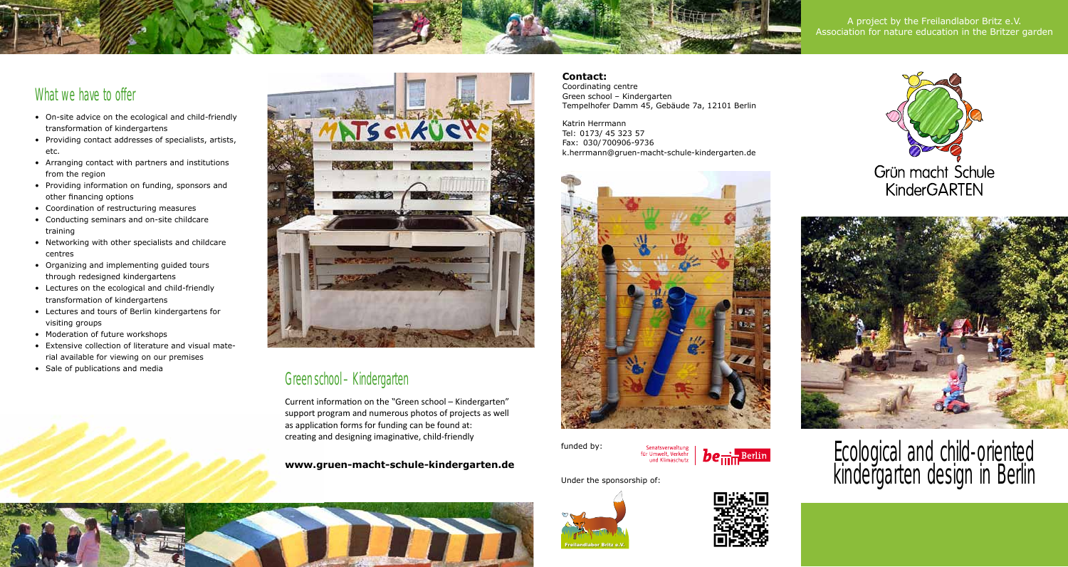A project by the Freilandlabor Britz e.V. Association for nature education in the Britzer garden

### What we have to offer

- • On-site advice on the ecological and child-friendly transformation of kindergartens
- • Providing contact addresses of specialists, artists, etc.
- • Arranging contact with partners and institutions from the region
- • Providing information on funding, sponsors and other financing options
- • Coordination of restructuring measures
- • Conducting seminars and on-site childcare training
- • Networking with other specialists and childcare centres
- • Organizing and implementing guided tours through redesigned kindergartens
- • Lectures on the ecological and child-friendly transformation of kindergartens
- • Lectures and tours of Berlin kindergartens for visiting groups
- Moderation of future workshops
- • Extensive collection of literature and visual material available for viewing on our premises
- • Sale of publications and media



## Greenschool – Kindergarten

Current information on the "Green school – Kindergarten" support program and numerous photos of projects as well as application forms for funding can be found at: creating and designing imaginative, child-friendly

**www.gruen-macht-schule-kindergarten.de**



Katrin Herrmann Tel: 0173/ 45 323 57 Fax: 030/700906-9736 k.herrmann@gruen-macht-schule-kindergarten.de



funded by:



#### Under the sponsorship of:









# Ecological and child-oriented kindergarten design in Berlin